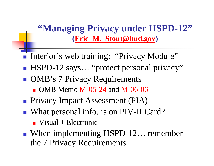**"Managing Privacy under HSPD-12" (Eric\_M.\_Stout@hud.gov )**

- $\mathbb{R}^3$ Interior's web training: "Privacy Module"
- $\mathbb{R}^3$ ■ HSPD-12 says... "protect personal privacy"
- $\mathbb{R}^3$ **OMB's 7 Privacy Requirements** 
	- OMB Memo M-05-24 and M-06-06
- $\mathbb{R}^3$ **Privacy Impact Assessment (PIA)**
- $\mathbb{R}^3$ ■ What personal info. is on PIV-II Card?
	- $\blacksquare$  Visual + Electronic
- $\mathbb{R}^3$ ■ When implementing HSPD-12… remember the 7 Privacy Requirements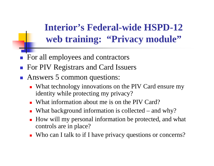**Interior's Federal-wide HSPD-12 web training: "Privacy module"**

- $\mathbb{R}^n$ For all employees and contractors
- F For PIV Registrars and Card Issuers
- $\mathbb{R}^2$  Answers 5 common questions:
	- What technology innovations on the PIV Card ensure my identity while protecting my privacy?
	- What information about me is on the PIV Card?
	- П ■ What background information is collected – and why?
	- How will my personal information be protected, and what controls are in place?
	- Who can I talk to if I have privacy questions or concerns?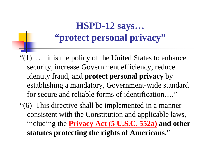## **HSPD-12 says… "protect personal privacy"**

- "(1) … it is the policy of the United States to enhance security, increase Government efficiency, reduce identity fraud, and **protect personal privacy** by establishing a mandatory, Government-wide standard for secure and reliable forms of identification…."
- "(6) This directive shall be implemented in a manner consistent with the Constitution and applicable laws, including the **Privacy Act (5 U.S.C. 552a) and other statutes protecting the rights of Americans**."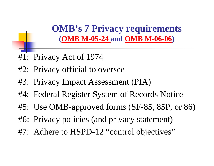**OMB's 7 Privacy requirements (OMB M-05-24 and OMB M-06-06 )**

- #1: Privacy Act of 1974
- #2: Privacy official to oversee
- #3: Privacy Impact Assessment (PIA)
- #4: Federal Register System of Records Notice
- #5: Use OMB-approved forms (SF-85, 85P, or 86)
- #6: Privacy policies (and privacy statement)
- #7: Adhere to HSPD-12 "control objectives"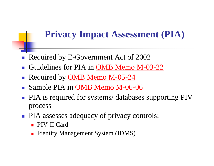## **Privacy Impact Assessment (PIA)**

- $\mathbb{R}^n$ Required by E-Government Act of 2002
- F Guidelines for PIA in OMB Memo M-03-22
- $\mathbb{R}^2$ Required by OMB Memo M-05-24
- $\mathbb{R}^n$ Sample PIA in OMB Memo M-06-06
- F PIA is required for systems/ databases supporting PIV process
- $\left\vert \cdot\right\vert$  PIA assesses adequacy of privacy controls:
	- PIV-II Card
	- **I** Identity Management System (IDMS)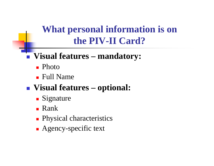**What personal information is on the PIV-II Card?**

## **Visual features – mandatory:**

- Photo
- Full Name
- **Visual features – optional:**
	- **Signature**
	- Rank
	- **Physical characteristics**
	- **Agency-specific text**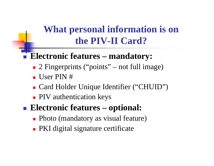**What personal information is on the PIV-II Card?**

## $\mathbb{R}^3$ **Electronic features – mandatory:**

- 2 Fingerprints ("points" – not full image)
- User PIN #
- Card Holder Unique Identifier ("CHUID")
- **PIV** authentication keys
- **Electronic features – optional:**
	- Photo (mandatory as visual feature)
	- **PKI** digital signature certificate